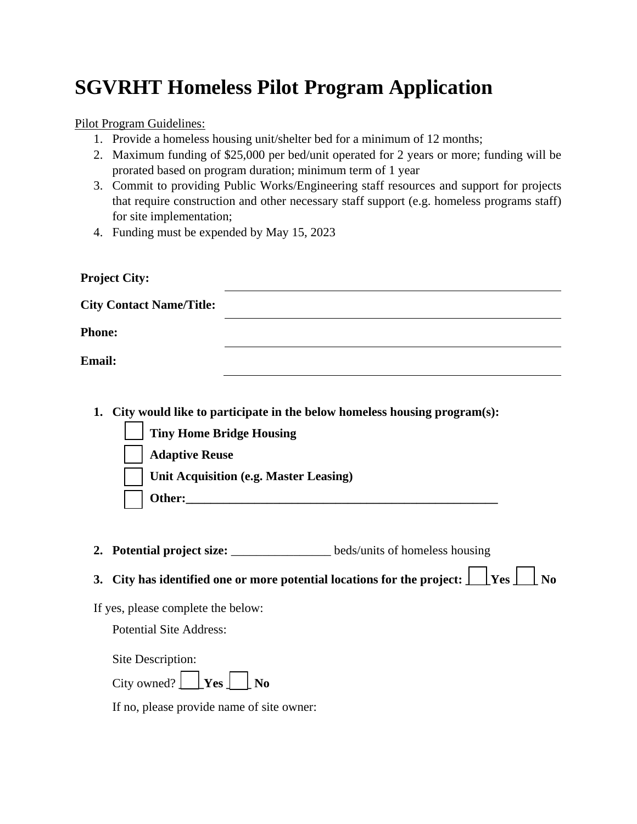## **SGVRHT Homeless Pilot Program Application**

Pilot Program Guidelines:

- 1. Provide a homeless housing unit/shelter bed for a minimum of 12 months;
- 2. Maximum funding of \$25,000 per bed/unit operated for 2 years or more; funding will be prorated based on program duration; minimum term of 1 year
- 3. Commit to providing Public Works/Engineering staff resources and support for projects that require construction and other necessary staff support (e.g. homeless programs staff) for site implementation;
- 4. Funding must be expended by May 15, 2023

| <b>Project City:</b>                                                                                             |                                                                                                                |
|------------------------------------------------------------------------------------------------------------------|----------------------------------------------------------------------------------------------------------------|
| <b>City Contact Name/Title:</b>                                                                                  |                                                                                                                |
| <b>Phone:</b>                                                                                                    |                                                                                                                |
| <b>Email:</b>                                                                                                    |                                                                                                                |
| 1.<br><b>Tiny Home Bridge Housing</b><br><b>Adaptive Reuse</b><br><b>Unit Acquisition (e.g. Master Leasing)</b>  | City would like to participate in the below homeless housing program(s):                                       |
| 2.                                                                                                               | Potential project size: ________________ beds/units of homeless housing                                        |
| 3.                                                                                                               | City has identified one or more potential locations for the project: $\Box$ Yes $\Box$<br>$\bf N$ <sub>0</sub> |
| If yes, please complete the below:                                                                               |                                                                                                                |
| <b>Potential Site Address:</b>                                                                                   |                                                                                                                |
| Site Description:<br>City owned? $\Box$ <b>Yes</b> $\Box$ <b>No</b><br>If no, please provide name of site owner: |                                                                                                                |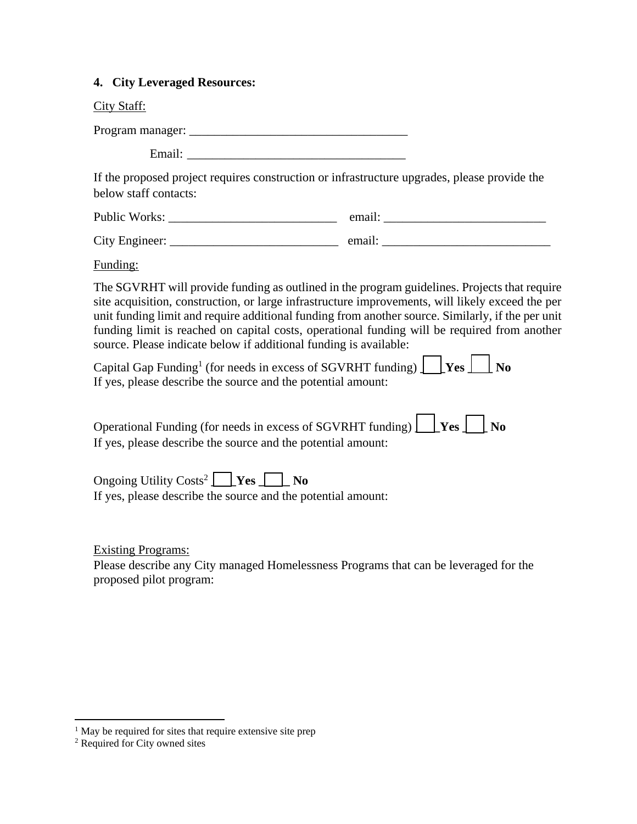## **4. City Leveraged Resources:**

|  | V | ман |
|--|---|-----|
|--|---|-----|

Program manager: \_\_\_\_\_\_\_\_\_\_\_\_\_\_\_\_\_\_\_\_\_\_\_\_\_\_\_\_\_\_\_\_\_\_\_

Email:

If the proposed project requires construction or infrastructure upgrades, please provide the below staff contacts:

Public Works: \_\_\_\_\_\_\_\_\_\_\_\_\_\_\_\_\_\_\_\_\_\_\_\_\_\_\_ email: \_\_\_\_\_\_\_\_\_\_\_\_\_\_\_\_\_\_\_\_\_\_\_\_\_\_

| City<br>Engineer: | amas Lu |  |
|-------------------|---------|--|
|                   |         |  |

Funding:

The SGVRHT will provide funding as outlined in the program guidelines. Projects that require site acquisition, construction, or large infrastructure improvements, will likely exceed the per unit funding limit and require additional funding from another source. Similarly, if the per unit funding limit is reached on capital costs, operational funding will be required from another source. Please indicate below if additional funding is available:

Capital Gap Funding<sup>1</sup> (for needs in excess of SGVRHT funding) **\_\_\_\_Yes \_\_\_\_ No** If yes, please describe the source and the potential amount:

| Operational Funding (for needs in excess of SGVRHT funding) $\boxed{\phantom{\cdot}}$ Yes $\boxed{\phantom{\cdot}}$ No |  |  |
|------------------------------------------------------------------------------------------------------------------------|--|--|
| If yes, please describe the source and the potential amount:                                                           |  |  |

Ongoing Utility Costs<sup>2</sup> **\_\_\_\_Yes \_\_\_\_\_ No** If yes, please describe the source and the potential amount:

Existing Programs:

Please describe any City managed Homelessness Programs that can be leveraged for the proposed pilot program:

 $\overline{a}$ 

<sup>&</sup>lt;sup>1</sup> May be required for sites that require extensive site prep

<sup>2</sup> Required for City owned sites